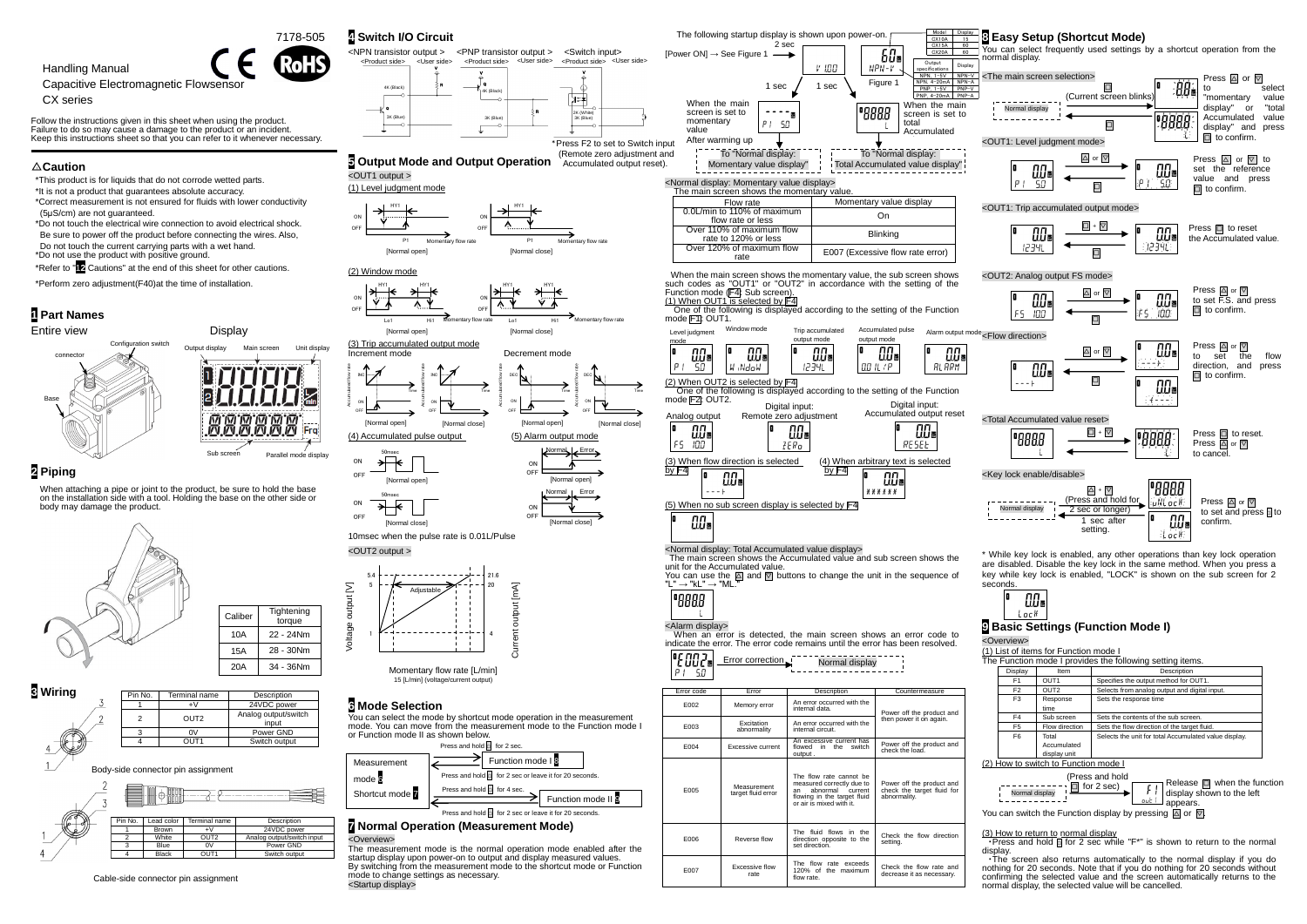startup display upon power-on to output and display measured values. By switching from the measurement mode to the shortcut mode or Function



mode to change settings as necessary.

<Startup display>

Cable-side connector pin assignment

$$
\begin{array}{c|c}\n\hline\n\text{IIIs} \\
\hline\n\text{Iock}\n\end{array}
$$

| Display        | Item             | Description                                           |
|----------------|------------------|-------------------------------------------------------|
| F <sub>1</sub> | OUT <sub>1</sub> | Specifies the output method for OUT1.                 |
| F <sub>2</sub> | OUT <sub>2</sub> | Selects from analog output and digital input.         |
| F <sub>3</sub> | Response         | Sets the response time                                |
|                | time             |                                                       |
| F4             | Sub screen       | Sets the contents of the sub screen.                  |
| F <sub>5</sub> | Flow direction   | Sets the flow direction of the target fluid.          |
| F <sub>6</sub> | Total            | Selects the unit for total Accumulated value display. |
|                | Accumulated      |                                                       |
|                | display unit     |                                                       |

| 11 1000 and not          | $\frac{1}{\sqrt{1}}$ Release $\Box$ when the function |
|--------------------------|-------------------------------------------------------|
| $\Box$ for 2 sec) $\Box$ | $\lfloor \cdot \rfloor$ display shown to the left     |
| Normal display           | appears.                                              |
|                          |                                                       |

E007 Excessive flow

rate

The flow rate exceeds 120% of the maximum flow rate.

Check the flow rate and decrease it as necessary.

display.

・The screen also returns automatically to the normal display if you do nothing for 20 seconds. Note that if you do nothing for 20 seconds without confirming the selected value and the screen automatically returns to the normal display, the selected value will be cancelled.